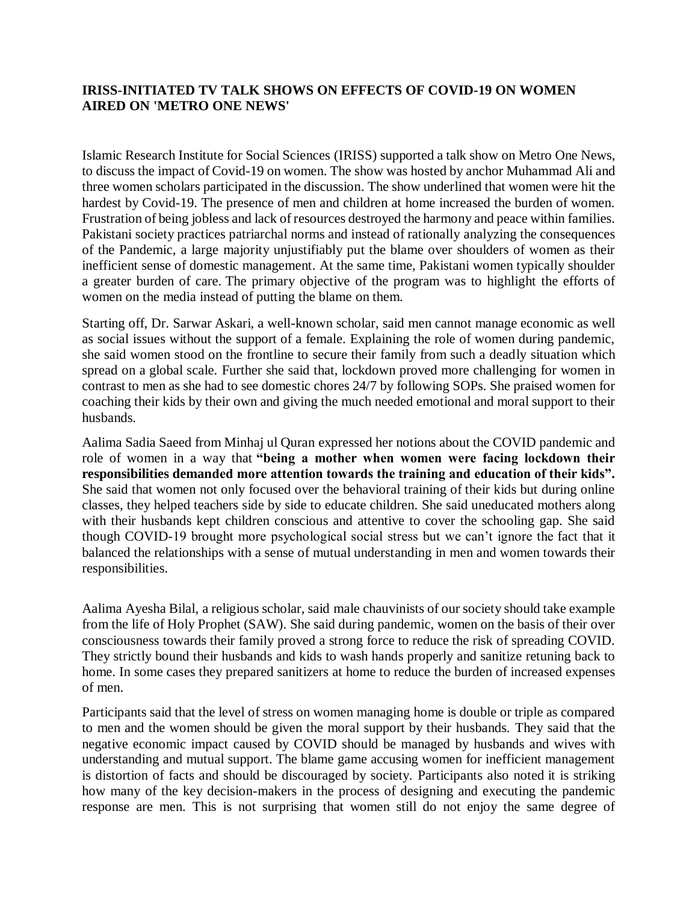## **IRISS-INITIATED TV TALK SHOWS ON EFFECTS OF COVID-19 ON WOMEN AIRED ON 'METRO ONE NEWS'**

Islamic Research Institute for Social Sciences (IRISS) supported a talk show on Metro One News, to discuss the impact of Covid-19 on women. The show was hosted by anchor Muhammad Ali and three women scholars participated in the discussion. The show underlined that women were hit the hardest by Covid-19. The presence of men and children at home increased the burden of women. Frustration of being jobless and lack of resources destroyed the harmony and peace within families. Pakistani society practices patriarchal norms and instead of rationally analyzing the consequences of the Pandemic, a large majority unjustifiably put the blame over shoulders of women as their inefficient sense of domestic management. At the same time, Pakistani women typically shoulder a greater burden of care. The primary objective of the program was to highlight the efforts of women on the media instead of putting the blame on them.

Starting off, Dr. Sarwar Askari, a well-known scholar, said men cannot manage economic as well as social issues without the support of a female. Explaining the role of women during pandemic, she said women stood on the frontline to secure their family from such a deadly situation which spread on a global scale. Further she said that, lockdown proved more challenging for women in contrast to men as she had to see domestic chores 24/7 by following SOPs. She praised women for coaching their kids by their own and giving the much needed emotional and moral support to their husbands.

Aalima Sadia Saeed from Minhaj ul Quran expressed her notions about the COVID pandemic and role of women in a way that **"being a mother when women were facing lockdown their responsibilities demanded more attention towards the training and education of their kids".** She said that women not only focused over the behavioral training of their kids but during online classes, they helped teachers side by side to educate children. She said uneducated mothers along with their husbands kept children conscious and attentive to cover the schooling gap. She said though COVID-19 brought more psychological social stress but we can't ignore the fact that it balanced the relationships with a sense of mutual understanding in men and women towards their responsibilities.

Aalima Ayesha Bilal, a religious scholar, said male chauvinists of our society should take example from the life of Holy Prophet (SAW). She said during pandemic, women on the basis of their over consciousness towards their family proved a strong force to reduce the risk of spreading COVID. They strictly bound their husbands and kids to wash hands properly and sanitize retuning back to home. In some cases they prepared sanitizers at home to reduce the burden of increased expenses of men.

Participants said that the level of stress on women managing home is double or triple as compared to men and the women should be given the moral support by their husbands. They said that the negative economic impact caused by COVID should be managed by husbands and wives with understanding and mutual support. The blame game accusing women for inefficient management is distortion of facts and should be discouraged by society. Participants also noted it is striking how many of the key decision-makers in the process of designing and executing the pandemic response are men. This is not surprising that women still do not enjoy the same degree of